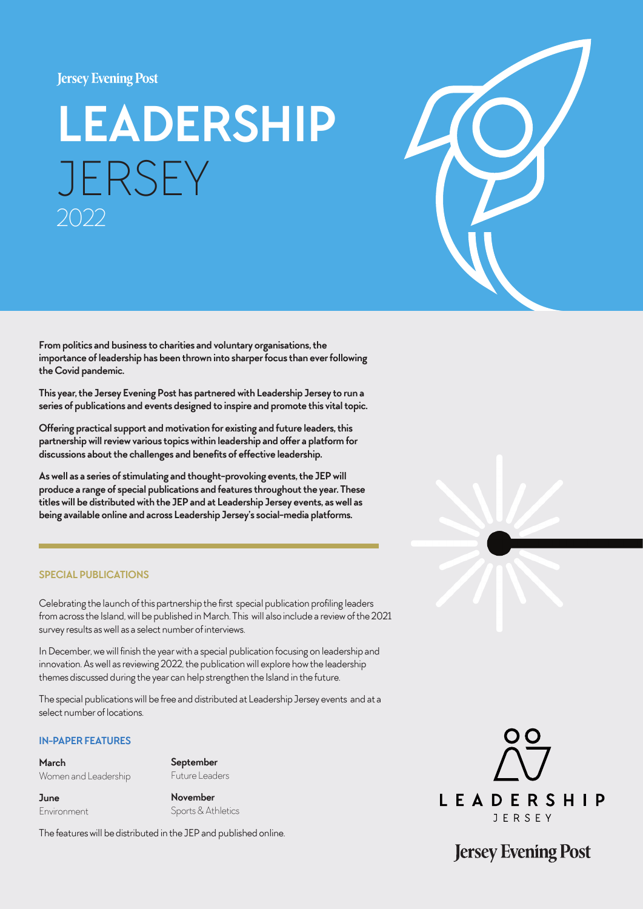#### **Jersey Evening Post**

# **LEADERSHIP** JERSEY 2022



**From politics and business to charities and voluntary organisations, the importance of leadership has been thrown into sharper focus than ever following the Covid pandemic.** 

**This year, the Jersey Evening Post has partnered with Leadership Jersey to run a series of publications and events designed to inspire and promote this vital topic.** 

**Offering practical support and motivation for existing and future leaders, this partnership will review various topics within leadership and offer a platform for discussions about the challenges and benefits of effective leadership.** 

**As well as a series of stimulating and thought-provoking events, the JEP will produce a range of special publications and features throughout the year. These titles will be distributed with the JEP and at Leadership Jersey events, as well as being available online and across Leadership Jersey's social-media platforms.**

#### **SPECIAL PUBLICATIONS**

Celebrating the launch of this partnership the first special publication profiling leaders from across the Island, will be published in March. This will also include a review of the 2021 survey results as well as a select number of interviews.

In December, we will finish the year with a special publication focusing on leadership and innovation. As well as reviewing 2022, the publication will explore how the leadership themes discussed during the year can help strengthen the Island in the future.

The special publications will be free and distributed at Leadership Jersey events and at a select number of locations.

#### **IN-PAPER FEATURES**

**March** Women and Leadership **September**  Future Leaders

**June** Environment **November** Sports & Athletics

The features will be distributed in the JEP and published online.



**Jersey Evening Post**